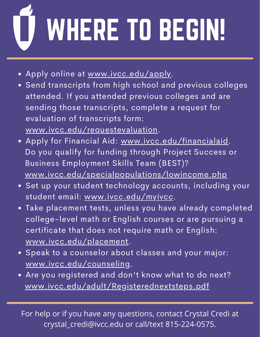## WHERE TO BEGIN!

- Apply online at [www.ivcc.edu/apply](http://www.ivcc.edu/apply).
- Send transcripts from high school and previous colleges attended. If you attended previous colleges and are sending those transcripts, complete a request for evaluation of transcripts form: [www.ivcc.edu/requestevaluation.](http://www.ivcc.edu/requestevaluation)
- Apply for Financial Aid: [www.ivcc.edu/financialaid.](http://www.ivcc.edu/financialaid) Do you qualify for funding through Project Success or Business Employment Skills Team (BEST)? [www.ivcc.edu/specialpopulations/lowincome.php](http://www.ivcc.edu/specialpopulations/lowincome.php)
- Set up your student technology accounts, including your student email: [www.ivcc.edu/myivcc](http://www.ivcc.edu/myivcc).
- Take placement tests, unless you have already completed college-level math or English courses or are pursuing a certificate that does not require math or English: [www.ivcc.edu/placement.](http://www.ivcc.edu/placement)
- **Speak to a counselor about classes and your major:** [www.ivcc.edu/counseling.](http://www.ivcc.edu/counseling)
- Are you registered and don't know what to do next? [www.ivcc.edu/adult/Registerednextsteps.pdf](http://www.ivcc.edu/adult/Registerednextsteps.pdf)

For help or if you have any questions, contact Crystal Credi at crystal\_credi@ivcc.edu or call/text 815-224-0575.